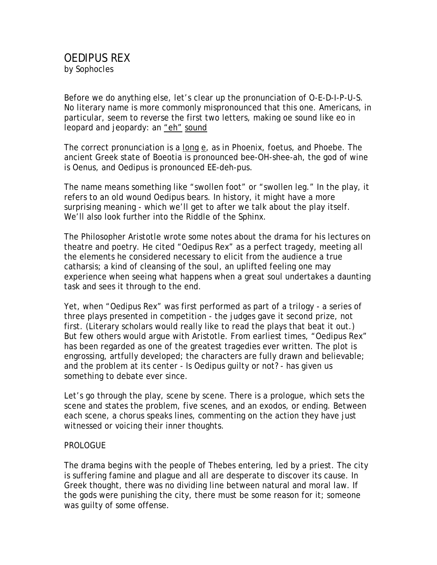Before we do anything else, let's clear up the pronunciation of O-E-D-I-P-U-S. No literary name is more commonly mispronounced that this one. Americans, in particular, seem to reverse the first two letters, making oe sound like eo in leopard and jeopardy: an "eh" sound

The correct pronunciation is a long e, as in Phoenix, foetus, and Phoebe. The ancient Greek state of Boeotia is pronounced bee-OH-shee-ah, the god of wine is Oenus, and Oedipus is pronounced EE-deh-pus.

The name means something like "swollen foot" or "swollen leg." In the play, it refers to an old wound Oedipus bears. In history, it might have a more surprising meaning - which we'll get to after we talk about the play itself. We'll also look further into the Riddle of the Sphinx.

The Philosopher Aristotle wrote some notes about the drama for his lectures on theatre and poetry. He cited "Oedipus Rex" as a perfect tragedy, meeting all the elements he considered necessary to elicit from the audience a true catharsis; a kind of cleansing of the soul, an uplifted feeling one may experience when seeing what happens when a great soul undertakes a daunting task and sees it through to the end.

Yet, when "Oedipus Rex" was first performed as part of a trilogy - a series of three plays presented in competition - the judges gave it second prize, not first. (Literary scholars would really like to read the plays that beat it out.) But few others would argue with Aristotle. From earliest times, "Oedipus Rex" has been regarded as one of the greatest tragedies ever written. The plot is engrossing, artfully developed; the characters are fully drawn and believable; and the problem at its center - Is Oedipus guilty or not? - has given us something to debate ever since.

Let's go through the play, scene by scene. There is a prologue, which sets the scene and states the problem, five scenes, and an exodos, or ending. Between each scene, a chorus speaks lines, commenting on the action they have just witnessed or voicing their inner thoughts.

## PROLOGUE

The drama begins with the people of Thebes entering, led by a priest. The city is suffering famine and plague and all are desperate to discover its cause. In Greek thought, there was no dividing line between natural and moral law. If the gods were punishing the city, there must be some reason for it; someone was guilty of some offense.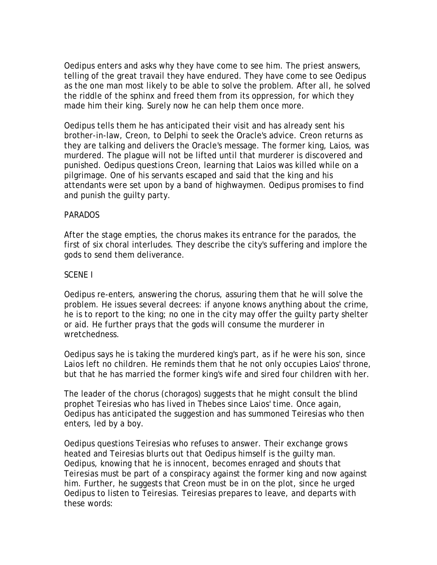Oedipus enters and asks why they have come to see him. The priest answers, telling of the great travail they have endured. They have come to see Oedipus as the one man most likely to be able to solve the problem. After all, he solved the riddle of the sphinx and freed them from its oppression, for which they made him their king. Surely now he can help them once more.

Oedipus tells them he has anticipated their visit and has already sent his brother-in-law, Creon, to Delphi to seek the Oracle's advice. Creon returns as they are talking and delivers the Oracle's message. The former king, Laios, was murdered. The plague will not be lifted until that murderer is discovered and punished. Oedipus questions Creon, learning that Laios was killed while on a pilgrimage. One of his servants escaped and said that the king and his attendants were set upon by a band of highwaymen. Oedipus promises to find and punish the guilty party.

### PARADOS

After the stage empties, the chorus makes its entrance for the parados, the first of six choral interludes. They describe the city's suffering and implore the gods to send them deliverance.

### SCENE I

Oedipus re-enters, answering the chorus, assuring them that he will solve the problem. He issues several decrees: if anyone knows anything about the crime, he is to report to the king; no one in the city may offer the guilty party shelter or aid. He further prays that the gods will consume the murderer in wretchedness.

Oedipus says he is taking the murdered king's part, as if he were his son, since Laios left no children. He reminds them that he not only occupies Laios' throne, but that he has married the former king's wife and sired four children with her.

The leader of the chorus (choragos) suggests that he might consult the blind prophet Teiresias who has lived in Thebes since Laios' time. Once again, Oedipus has anticipated the suggestion and has summoned Teiresias who then enters, led by a boy.

Oedipus questions Teiresias who refuses to answer. Their exchange grows heated and Teiresias blurts out that Oedipus himself is the guilty man. Oedipus, knowing that he is innocent, becomes enraged and shouts that Teiresias must be part of a conspiracy against the former king and now against him. Further, he suggests that Creon must be in on the plot, since he urged Oedipus to listen to Teiresias. Teiresias prepares to leave, and departs with these words: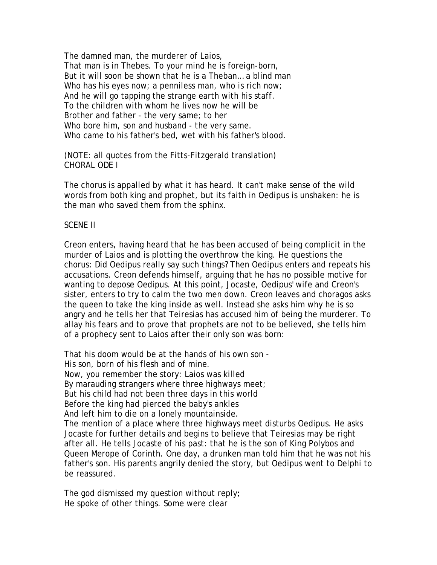The damned man, the murderer of Laios, That man is in Thebes. To your mind he is foreign-born, But it will soon be shown that he is a Theban… a blind man Who has his eyes now; a penniless man, who is rich now; And he will go tapping the strange earth with his staff. To the children with whom he lives now he will be Brother and father - the very same; to her Who bore him, son and husband - the very same. Who came to his father's bed, wet with his father's blood.

(NOTE: all quotes from the Fitts-Fitzgerald translation) CHORAL ODE I

The chorus is appalled by what it has heard. It can't make sense of the wild words from both king and prophet, but its faith in Oedipus is unshaken: he is the man who saved them from the sphinx.

## SCENE II

Creon enters, having heard that he has been accused of being complicit in the murder of Laios and is plotting the overthrow the king. He questions the chorus: Did Oedipus really say such things? Then Oedipus enters and repeats his accusations. Creon defends himself, arguing that he has no possible motive for wanting to depose Oedipus. At this point, Jocaste, Oedipus' wife and Creon's sister, enters to try to calm the two men down. Creon leaves and choragos asks the queen to take the king inside as well. Instead she asks him why he is so angry and he tells her that Teiresias has accused him of being the murderer. To allay his fears and to prove that prophets are not to be believed, she tells him of a prophecy sent to Laios after their only son was born:

That his doom would be at the hands of his own son -

His son, born of his flesh and of mine.

Now, you remember the story: Laios was killed

By marauding strangers where three highways meet;

But his child had not been three days in this world

Before the king had pierced the baby's ankles

And left him to die on a lonely mountainside.

The mention of a place where three highways meet disturbs Oedipus. He asks Jocaste for further details and begins to believe that Teiresias may be right after all. He tells Jocaste of his past: that he is the son of King Polybos and Queen Merope of Corinth. One day, a drunken man told him that he was not his father's son. His parents angrily denied the story, but Oedipus went to Delphi to be reassured.

The god dismissed my question without reply; He spoke of other things. Some were clear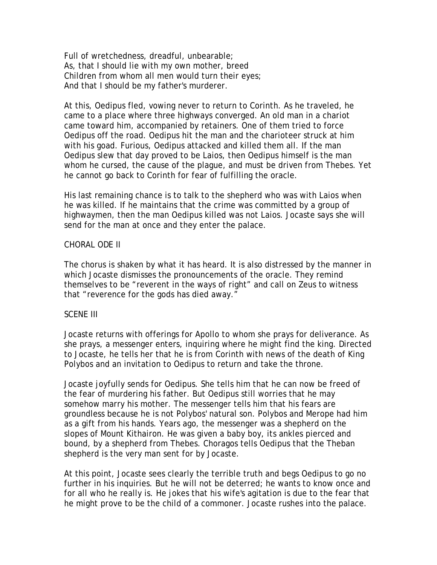Full of wretchedness, dreadful, unbearable; As, that I should lie with my own mother, breed Children from whom all men would turn their eyes; And that I should be my father's murderer.

At this, Oedipus fled, vowing never to return to Corinth. As he traveled, he came to a place where three highways converged. An old man in a chariot came toward him, accompanied by retainers. One of them tried to force Oedipus off the road. Oedipus hit the man and the charioteer struck at him with his goad. Furious, Oedipus attacked and killed them all. If the man Oedipus slew that day proved to be Laios, then Oedipus himself is the man whom he cursed, the cause of the plague, and must be driven from Thebes. Yet he cannot go back to Corinth for fear of fulfilling the oracle.

His last remaining chance is to talk to the shepherd who was with Laios when he was killed. If he maintains that the crime was committed by a group of highwaymen, then the man Oedipus killed was not Laios. Jocaste says she will send for the man at once and they enter the palace.

#### CHORAL ODE II

The chorus is shaken by what it has heard. It is also distressed by the manner in which Jocaste dismisses the pronouncements of the oracle. They remind themselves to be "reverent in the ways of right" and call on Zeus to witness that "reverence for the gods has died away."

#### SCENE III

Jocaste returns with offerings for Apollo to whom she prays for deliverance. As she prays, a messenger enters, inquiring where he might find the king. Directed to Jocaste, he tells her that he is from Corinth with news of the death of King Polybos and an invitation to Oedipus to return and take the throne.

Jocaste joyfully sends for Oedipus. She tells him that he can now be freed of the fear of murdering his father. But Oedipus still worries that he may somehow marry his mother. The messenger tells him that his fears are groundless because he is not Polybos' natural son. Polybos and Merope had him as a gift from his hands. Years ago, the messenger was a shepherd on the slopes of Mount Kithairon. He was given a baby boy, its ankles pierced and bound, by a shepherd from Thebes. Choragos tells Oedipus that the Theban shepherd is the very man sent for by Jocaste.

At this point, Jocaste sees clearly the terrible truth and begs Oedipus to go no further in his inquiries. But he will not be deterred; he wants to know once and for all who he really is. He jokes that his wife's agitation is due to the fear that he might prove to be the child of a commoner. Jocaste rushes into the palace.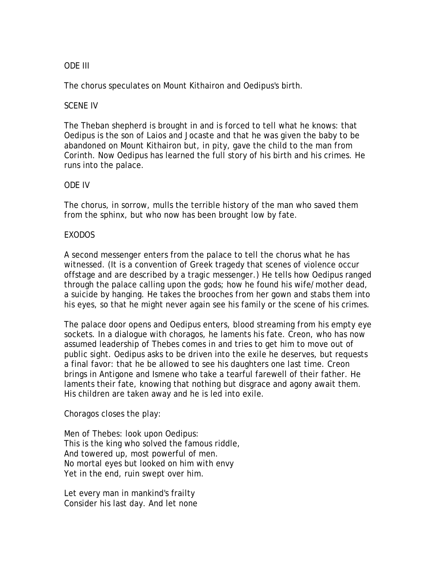# ODE III

The chorus speculates on Mount Kithairon and Oedipus's birth.

## SCENE IV

The Theban shepherd is brought in and is forced to tell what he knows: that Oedipus is the son of Laios and Jocaste and that he was given the baby to be abandoned on Mount Kithairon but, in pity, gave the child to the man from Corinth. Now Oedipus has learned the full story of his birth and his crimes. He runs into the palace.

## ODE IV

The chorus, in sorrow, mulls the terrible history of the man who saved them from the sphinx, but who now has been brought low by fate.

## EXODOS

A second messenger enters from the palace to tell the chorus what he has witnessed. (It is a convention of Greek tragedy that scenes of violence occur offstage and are described by a tragic messenger.) He tells how Oedipus ranged through the palace calling upon the gods; how he found his wife/mother dead, a suicide by hanging. He takes the brooches from her gown and stabs them into his eyes, so that he might never again see his family or the scene of his crimes.

The palace door opens and Oedipus enters, blood streaming from his empty eye sockets. In a dialogue with choragos, he laments his fate. Creon, who has now assumed leadership of Thebes comes in and tries to get him to move out of public sight. Oedipus asks to be driven into the exile he deserves, but requests a final favor: that he be allowed to see his daughters one last time. Creon brings in Antigone and Ismene who take a tearful farewell of their father. He laments their fate, knowing that nothing but disgrace and agony await them. His children are taken away and he is led into exile.

Choragos closes the play:

Men of Thebes: look upon Oedipus: This is the king who solved the famous riddle, And towered up, most powerful of men. No mortal eyes but looked on him with envy Yet in the end, ruin swept over him.

Let every man in mankind's frailty Consider his last day. And let none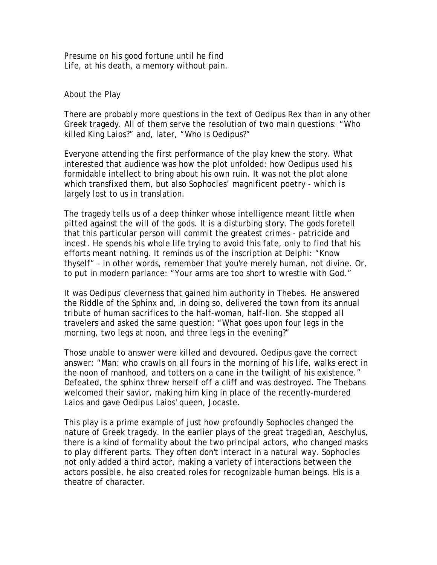Presume on his good fortune until he find Life, at his death, a memory without pain.

About the Play

There are probably more questions in the text of Oedipus Rex than in any other Greek tragedy. All of them serve the resolution of two main questions: "Who killed King Laios?" and, later, "Who is Oedipus?"

Everyone attending the first performance of the play knew the story. What interested that audience was how the plot unfolded: how Oedipus used his formidable intellect to bring about his own ruin. It was not the plot alone which transfixed them, but also Sophocles' magnificent poetry - which is largely lost to us in translation.

The tragedy tells us of a deep thinker whose intelligence meant little when pitted against the will of the gods. It is a disturbing story. The gods foretell that this particular person will commit the greatest crimes - patricide and incest. He spends his whole life trying to avoid this fate, only to find that his efforts meant nothing. It reminds us of the inscription at Delphi: "Know thyself" - in other words, remember that you're merely human, not divine. Or, to put in modern parlance: "Your arms are too short to wrestle with God."

It was Oedipus' cleverness that gained him authority in Thebes. He answered the Riddle of the Sphinx and, in doing so, delivered the town from its annual tribute of human sacrifices to the half-woman, half-lion. She stopped all travelers and asked the same question: "What goes upon four legs in the morning, two legs at noon, and three legs in the evening?"

Those unable to answer were killed and devoured. Oedipus gave the correct answer: "Man: who crawls on all fours in the morning of his life, walks erect in the noon of manhood, and totters on a cane in the twilight of his existence." Defeated, the sphinx threw herself off a cliff and was destroyed. The Thebans welcomed their savior, making him king in place of the recently-murdered Laios and gave Oedipus Laios' queen, Jocaste.

This play is a prime example of just how profoundly Sophocles changed the nature of Greek tragedy. In the earlier plays of the great tragedian, Aeschylus, there is a kind of formality about the two principal actors, who changed masks to play different parts. They often don't interact in a natural way. Sophocles not only added a third actor, making a variety of interactions between the actors possible, he also created roles for recognizable human beings. His is a theatre of character.